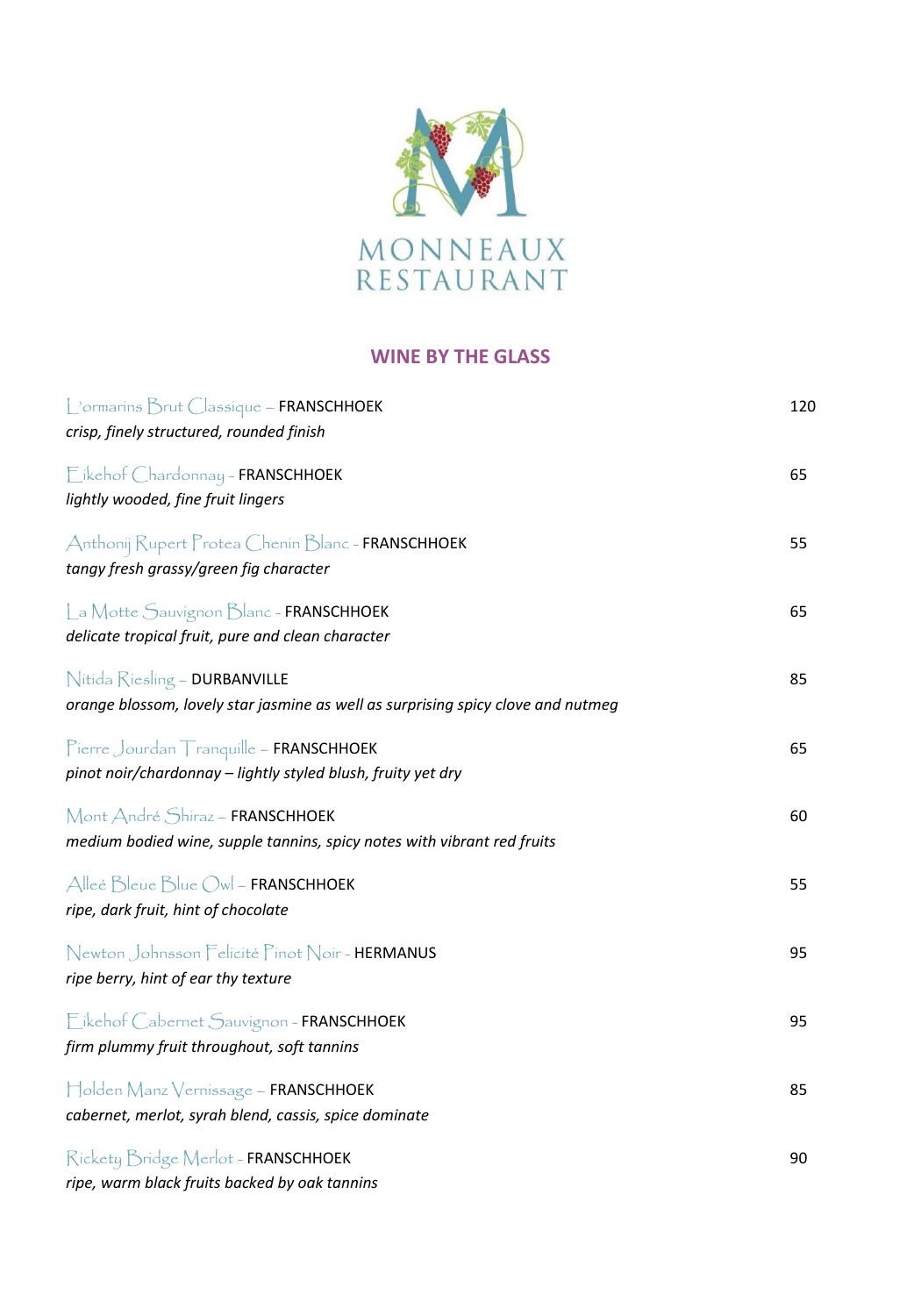

### **WINE BY THE GLASS**

| L'ormarins Brut Classique ~ FRANSCHHOEK<br>crisp, finely structured, rounded finish                               | 120 |
|-------------------------------------------------------------------------------------------------------------------|-----|
| Eikehof Chardonnay - FRANSCHHOEK<br>lightly wooded, fine fruit lingers                                            | 65  |
| Anthonij Rupert Protea Chenin Blanc - FRANSCHHOEK<br>tangy fresh grassy/green fig character                       | 55  |
| La Motte Sauvignon Blanc ~ FRANSCHHOEK<br>delicate tropical fruit, pure and clean character                       | 65  |
| Nitida Riesling - DURBANVILLE<br>orange blossom, lovely star jasmine as well as surprising spicy clove and nutmeg | 85  |
| Pierre Jourdan Tranquille ~ FRANSCHHOEK<br>pinot noir/chardonnay - lightly styled blush, fruity yet dry           | 65  |
| Mont André Shiraz ~ FRANSCHHOEK<br>medium bodied wine, supple tannins, spicy notes with vibrant red fruits        | 60  |
| Alleé Bleue Blue Owl - FRANSCHHOEK<br>ripe, dark fruit, hint of chocolate                                         | 55  |
| Newton Johnsson Felicité Pinot Noir-HERMANUS<br>ripe berry, hint of ear thy texture                               | 95  |
| Eikehof Cabernet Sauvignon ~ FRANSCHHOEK<br>firm plummy fruit throughout, soft tannins                            | 95  |
| Holden Manz Vernissage - FRANSCHHOEK<br>cabernet, merlot, syrah blend, cassis, spice dominate                     | 85  |
| Rickety Bridge Merlot - FRANSCHHOEK<br>ripe, warm black fruits backed by oak tannins                              | 90  |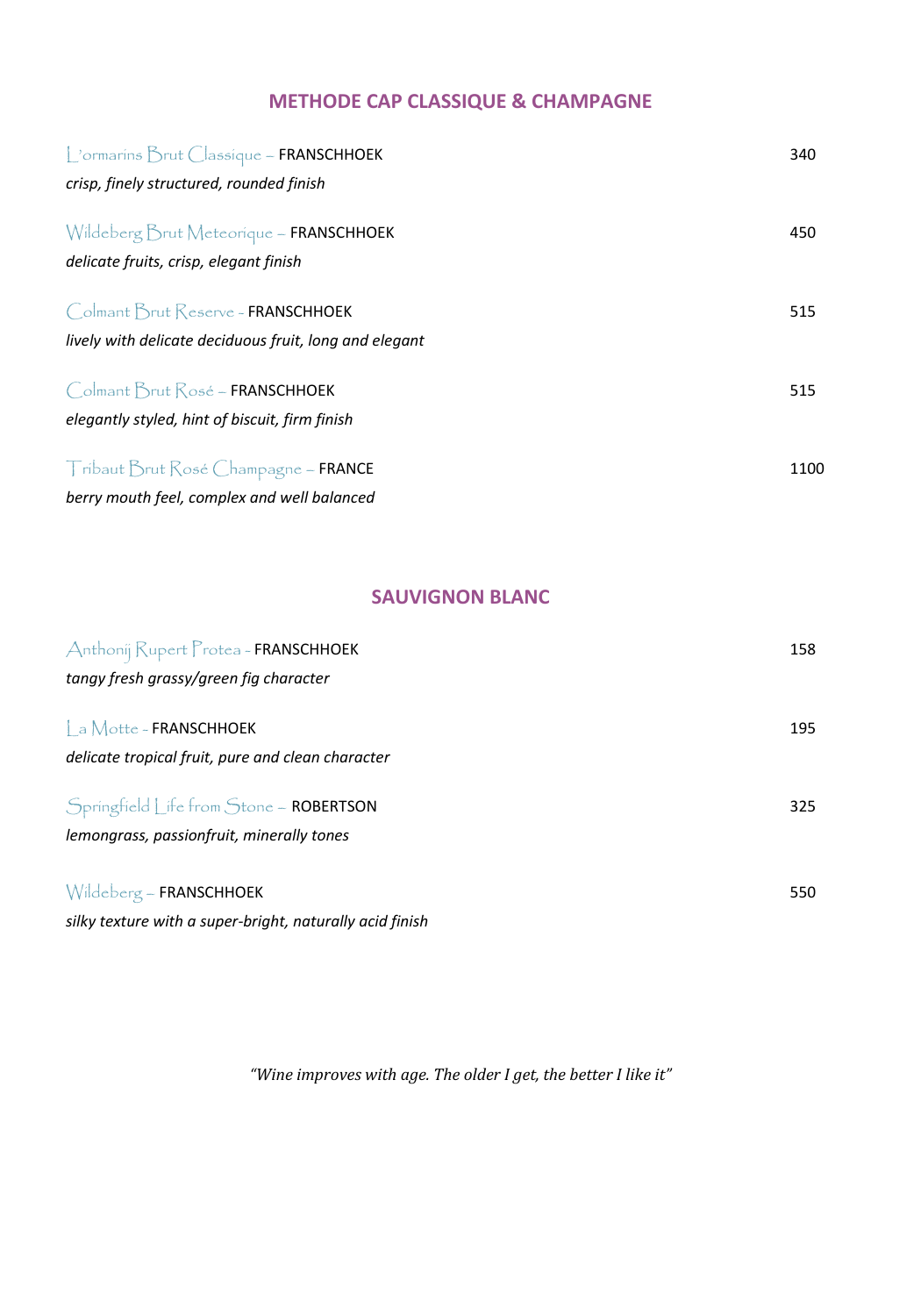### **METHODE CAP CLASSIQUE & CHAMPAGNE**

| Cormarins Brut Classique ~ FRANSCHHOEK                 | 340  |
|--------------------------------------------------------|------|
| crisp, finely structured, rounded finish               |      |
| Wildeberg Brut Meteorique ~ FRANSCHHOEK                | 450  |
| delicate fruits, crisp, elegant finish                 |      |
| Colmant Brut Reserve - FRANSCHHOEK                     | 515  |
| lively with delicate deciduous fruit, long and elegant |      |
| Colmant Brut Rosé ~ FRANSCHHOEK                        | 515  |
| elegantly styled, hint of biscuit, firm finish         |      |
| Tribaut Brut Rosé Champagne ~ FRANCE                   | 1100 |
| berry mouth feel, complex and well balanced            |      |

## **SAUVIGNON BLANC**

| Anthonij Rupert Protea - FRANSCHHOEK                     | 158 |
|----------------------------------------------------------|-----|
| tangy fresh grassy/green fig character                   |     |
| a Motte - FRANSCHHOEK                                    | 195 |
| delicate tropical fruit, pure and clean character        |     |
| Springfield Life from Stone ~ ROBERTSON                  | 325 |
| lemongrass, passionfruit, minerally tones                |     |
| Wildeberg - FRANSCHHOEK                                  | 550 |
| silky texture with a super-bright, naturally acid finish |     |

*"Wine improves with age. The older I get, the better I like it"*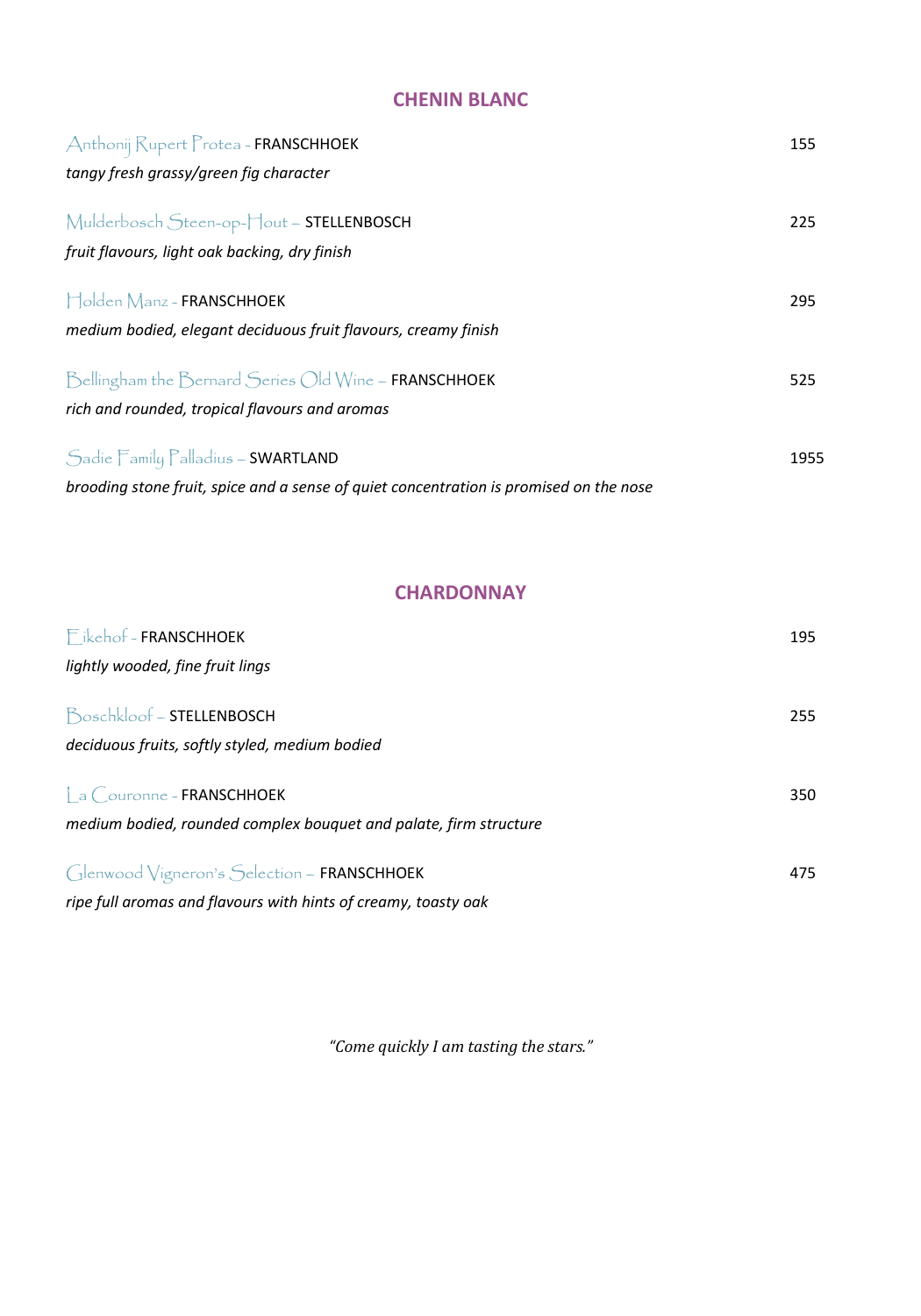## **CHENIN BLANC**

| Anthonij Rupert Protea - FRANSCHHOEK                                                   | 155  |
|----------------------------------------------------------------------------------------|------|
| tangy fresh grassy/green fig character                                                 |      |
| Mulderbosch Steen-op-Hout - STELLENBOSCH                                               | 225  |
| fruit flavours, light oak backing, dry finish                                          |      |
| Holden Manz - FRANSCHHOEK                                                              | 295  |
| medium bodied, elegant deciduous fruit flavours, creamy finish                         |      |
| Bellingham the Bernard Series Old Wine ~ FRANSCHHOEK                                   | 525  |
| rich and rounded, tropical flavours and aromas                                         |      |
| Sadie Family Palladius ~ SWARTLAND                                                     | 1955 |
| brooding stone fruit, spice and a sense of quiet concentration is promised on the nose |      |

## **CHARDONNAY**

| Fikehof - FRANSCHHOEK                                             | 195 |
|-------------------------------------------------------------------|-----|
| lightly wooded, fine fruit lings                                  |     |
| Boschkloof - STELLENBOSCH                                         | 255 |
| deciduous fruits, softly styled, medium bodied                    |     |
| $\int$ a $\bigcirc$ ouronne ~ FRANSCHHOEK                         | 350 |
| medium bodied, rounded complex bouquet and palate, firm structure |     |
| Glenwood Vigneron's Selection ~ FRANSCHHOEK                       | 475 |
| ripe full aromas and flavours with hints of creamy, toasty oak    |     |

*"Come quickly I am tasting the stars."*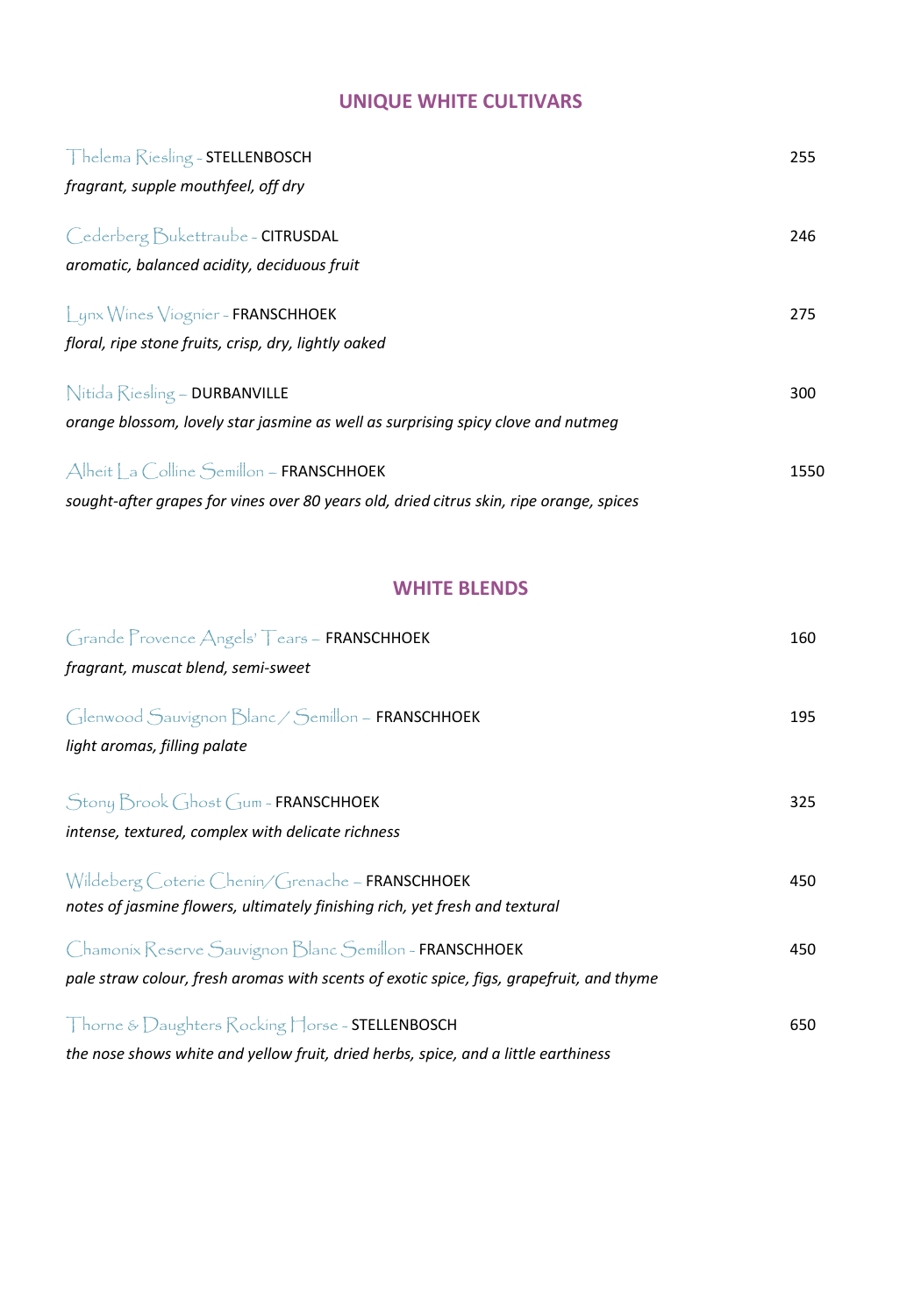## **UNIQUE WHITE CULTIVARS**

| Thelema Riesling - STELLENBOSCH                                                         | 255  |
|-----------------------------------------------------------------------------------------|------|
| fragrant, supple mouthfeel, off dry                                                     |      |
| Cederberg Bukettraube - CITRUSDAL                                                       | 246  |
| aromatic, balanced acidity, deciduous fruit                                             |      |
| Lynx Wines Viognier - FRANSCHHOEK                                                       | 275  |
| floral, ripe stone fruits, crisp, dry, lightly oaked                                    |      |
| Nitida Riesling - DURBANVILLE                                                           | 300  |
| orange blossom, lovely star jasmine as well as surprising spicy clove and nutmeg        |      |
| Alheit a Colline Semillon - FRANSCHHOEK                                                 | 1550 |
| sought-after grapes for vines over 80 years old, dried citrus skin, ripe orange, spices |      |

## **WHITE BLENDS**

| Grande Provence Angels' Tears ~ FRANSCHHOEK                                              | 160 |
|------------------------------------------------------------------------------------------|-----|
| fragrant, muscat blend, semi-sweet                                                       |     |
|                                                                                          |     |
| Glenwood Sauvignon Blanc / Semillon ~ FRANSCHHOEK                                        | 195 |
| light aromas, filling palate                                                             |     |
|                                                                                          |     |
| Stony Brook Ghost Gum ~ FRANSCHHOEK                                                      | 325 |
| intense, textured, complex with delicate richness                                        |     |
|                                                                                          |     |
| Wildeberg Coterie Chenin/Grenache ~ FRANSCHHOEK                                          | 450 |
| notes of jasmine flowers, ultimately finishing rich, yet fresh and textural              |     |
| Chamonix Reserve Sauvignon Blanc Semillon ~ FRANSCHHOEK                                  | 450 |
| pale straw colour, fresh aromas with scents of exotic spice, figs, grapefruit, and thyme |     |
|                                                                                          |     |
| Thorne & Daughters Rocking Horse - STELLENBOSCH                                          | 650 |
| the nose shows white and yellow fruit, dried herbs, spice, and a little earthiness       |     |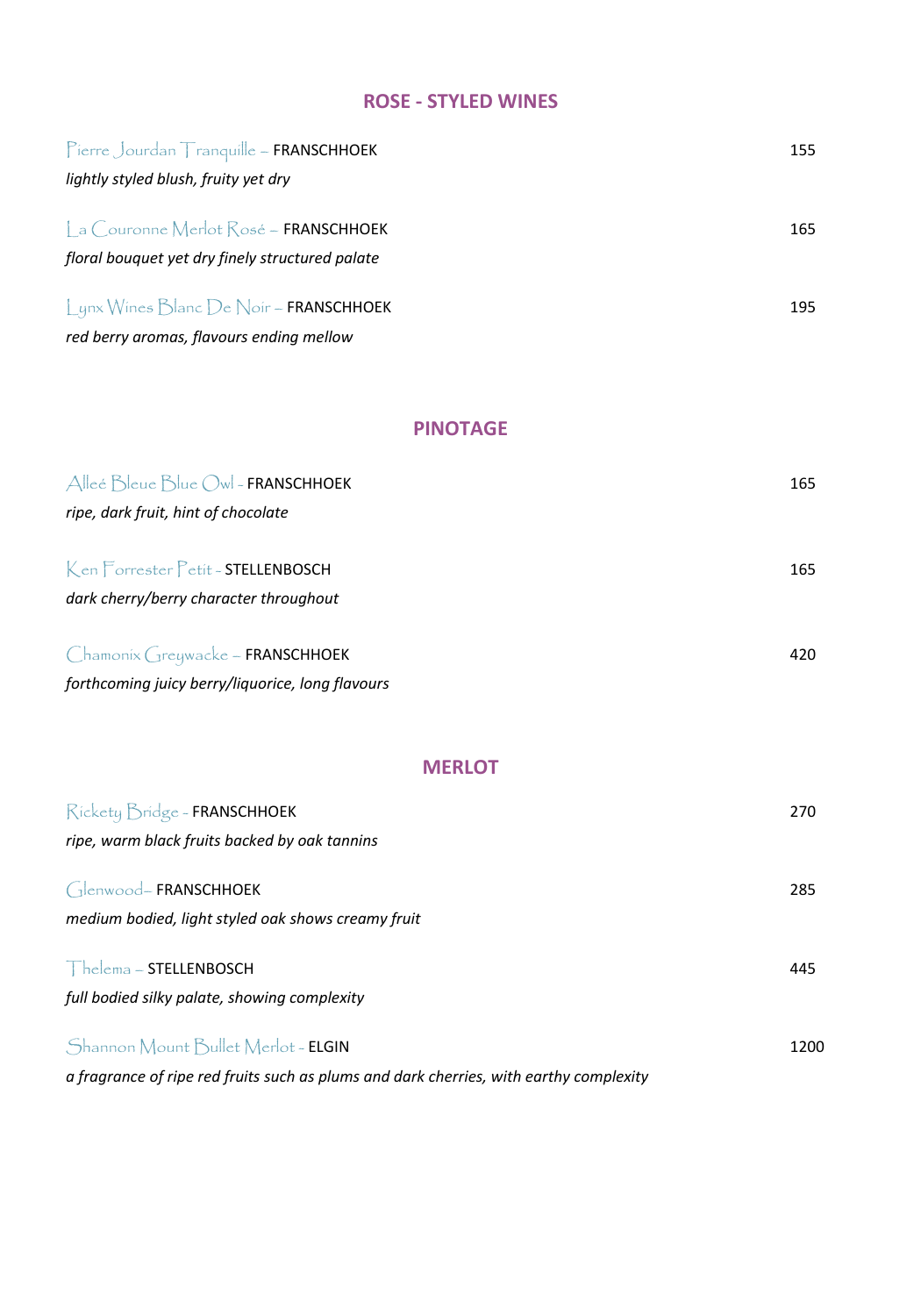## **ROSE - STYLED WINES**

| Pierre Jourdan Tranquille ~ FRANSCHHOEK                                                  | 155 |
|------------------------------------------------------------------------------------------|-----|
| lightly styled blush, fruity yet dry                                                     |     |
| La Couronne Merlot Rosé ~ FRANSCHHOEK<br>floral bouquet yet dry finely structured palate | 165 |
| Lynx Wines Blanc De Noir ~ FRANSCHHOEK<br>red berry aromas, flavours ending mellow       | 195 |

#### **PINOTAGE**

| Alleé Bleue Blue Owl - FRANSCHHOEK               | 165 |
|--------------------------------------------------|-----|
| ripe, dark fruit, hint of chocolate              |     |
|                                                  |     |
| Ken Forrester Petit - STELLENBOSCH               | 165 |
| dark cherry/berry character throughout           |     |
| Chamonix Greywacke ~ FRANSCHHOEK                 | 420 |
|                                                  |     |
| forthcoming juicy berry/liquorice, long flavours |     |

### **MERLOT**

| Rickety Bridge - FRANSCHHOEK                                                                 | 270  |
|----------------------------------------------------------------------------------------------|------|
| ripe, warm black fruits backed by oak tannins                                                |      |
| $\int_{\mathbb{R}}$ enwood-FRANSCHHOEK<br>medium bodied, light styled oak shows creamy fruit | 285  |
| The lemma <sub>~</sub> STELLENBOSCH                                                          | 445  |
| full bodied silky palate, showing complexity                                                 |      |
| Shannon Mount Bullet Merlot ~ ELGIN                                                          | 1200 |
| a fragrance of ripe red fruits such as plums and dark cherries, with earthy complexity       |      |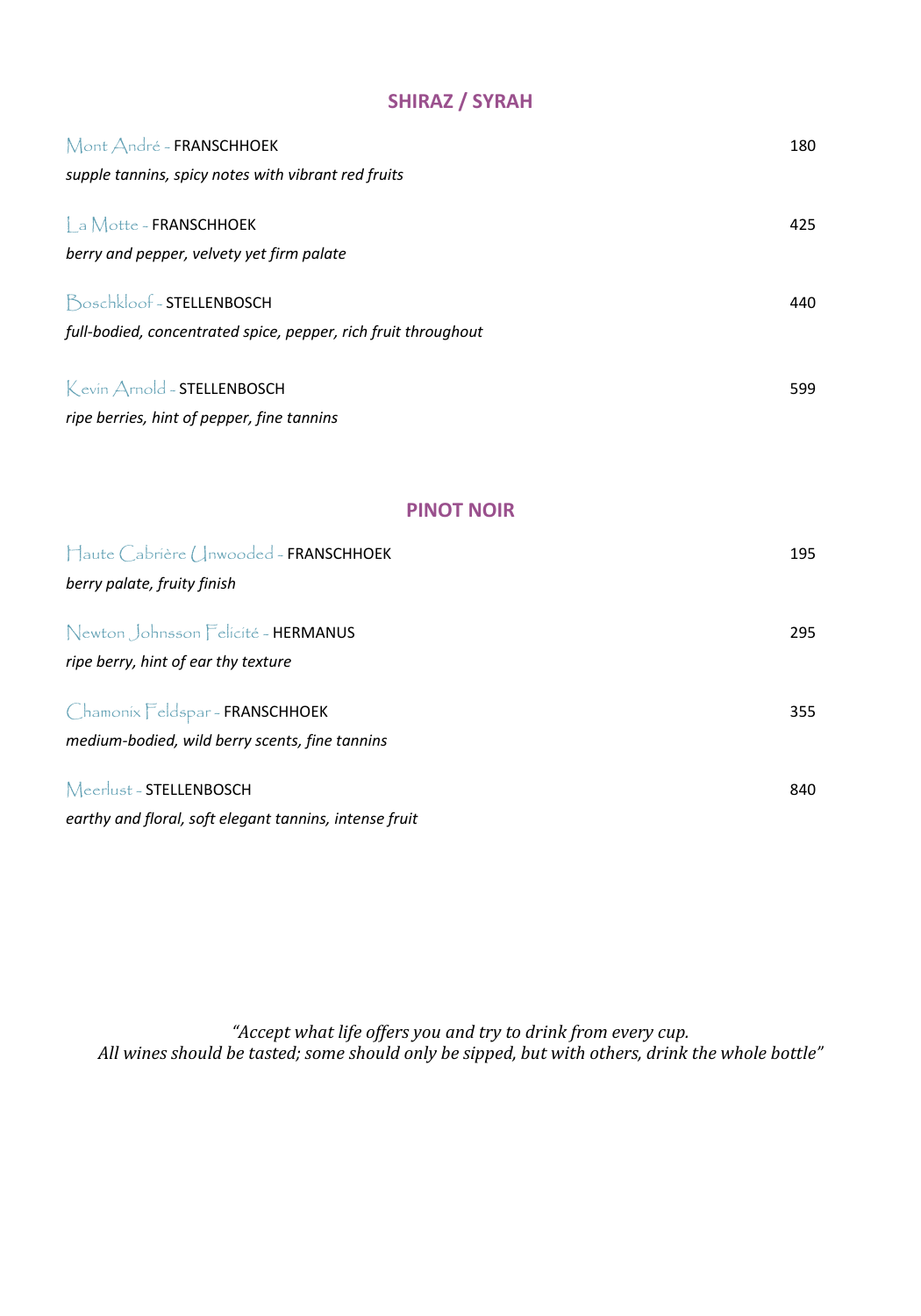# **SHIRAZ / SYRAH**

| Mont André - FRANSCHHOEK                                       | 180 |
|----------------------------------------------------------------|-----|
| supple tannins, spicy notes with vibrant red fruits            |     |
| a Motte - FRANSCHHOEK                                          | 425 |
|                                                                |     |
| berry and pepper, velvety yet firm palate                      |     |
| Boschkloof - STELLENBOSCH                                      | 440 |
| full-bodied, concentrated spice, pepper, rich fruit throughout |     |
|                                                                |     |
| Kevin Arnold - STELLENBOSCH                                    | 599 |
| ripe berries, hint of pepper, fine tannins                     |     |

#### **PINOT NOIR**

| Haute Cabrière (Inwooded - FRANSCHHOEK                                            | 195 |
|-----------------------------------------------------------------------------------|-----|
| berry palate, fruity finish                                                       |     |
| Newton Johnsson Felicité - HERMANUS<br>ripe berry, hint of ear thy texture        | 295 |
| Chamonix Feldspar - FRANSCHHOEK<br>medium-bodied, wild berry scents, fine tannins | 355 |
| Meerlust-STELLENBOSCH<br>earthy and floral, soft elegant tannins, intense fruit   | 840 |

*"Accept what life offers you and try to drink from every cup. All wines should be tasted; some should only be sipped, but with others, drink the whole bottle"*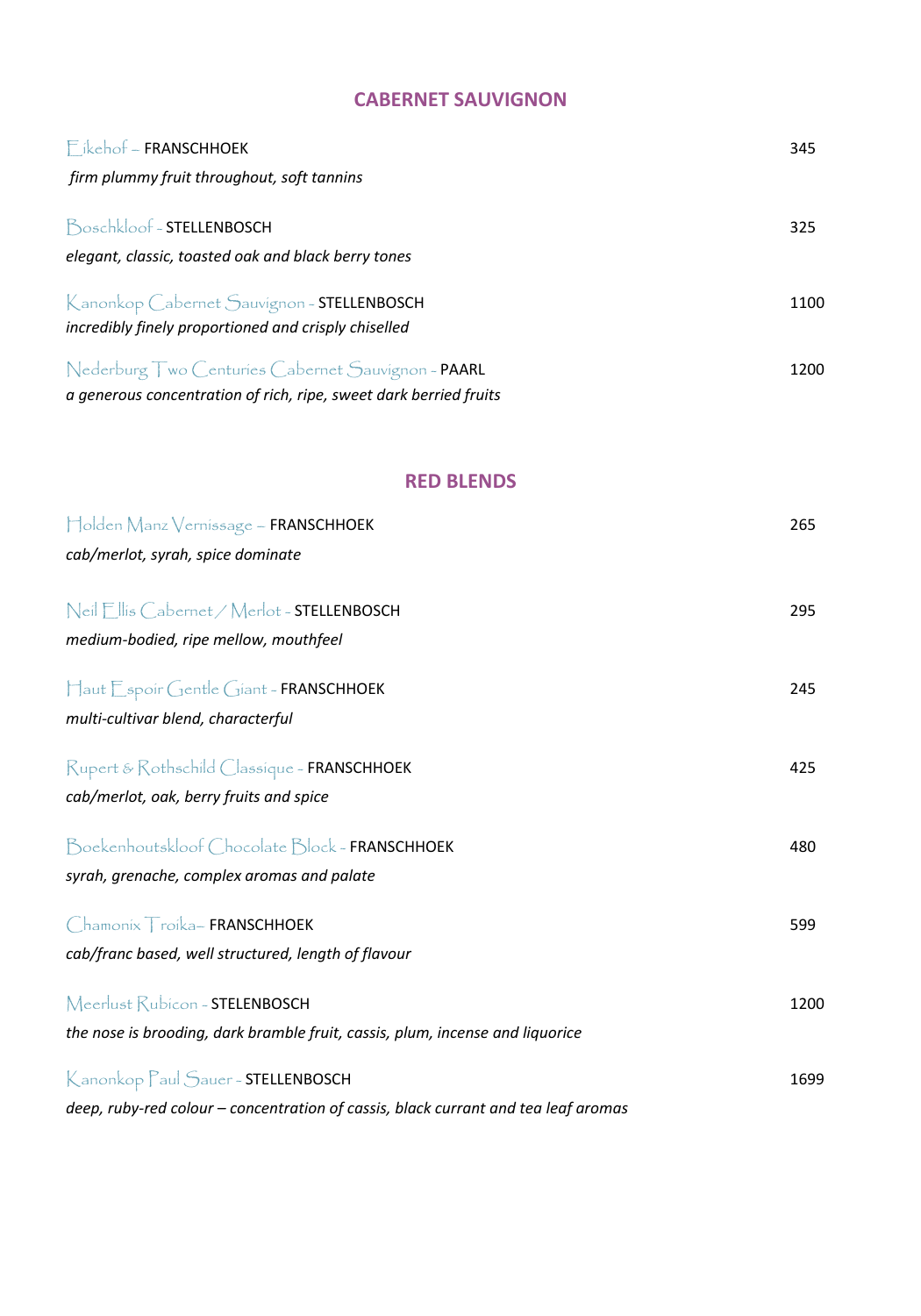## **CABERNET SAUVIGNON**

| $F$ ikehof ~ FRANSCHHOEK                                          | 345  |
|-------------------------------------------------------------------|------|
| firm plummy fruit throughout, soft tannins                        |      |
| Boschkloof - STELLENBOSCH                                         | 325  |
| elegant, classic, toasted oak and black berry tones               |      |
| Kanonkop Cabernet Sauvignon ~ STELLENBOSCH                        | 1100 |
| incredibly finely proportioned and crisply chiselled              |      |
| Nederburg Two Centuries Cabernet Sauvignon ~ PAARL                | 1200 |
| a generous concentration of rich, ripe, sweet dark berried fruits |      |

### **RED BLENDS**

| Holden Manz Vernissage ~ FRANSCHHOEK                                               | 265  |
|------------------------------------------------------------------------------------|------|
| cab/merlot, syrah, spice dominate                                                  |      |
| Neil Ellis Cabernet / Merlot - STELLENBOSCH                                        | 295  |
| medium-bodied, ripe mellow, mouthfeel                                              |      |
| Haut Espoir Gentle Giant - FRANSCHHOEK                                             | 245  |
| multi-cultivar blend, characterful                                                 |      |
| Rupert & Rothschild Classique - FRANSCHHOEK                                        | 425  |
| cab/merlot, oak, berry fruits and spice                                            |      |
| Boekenhoutskloof Chocolate Block ~ FRANSCHHOEK                                     | 480  |
| syrah, grenache, complex aromas and palate                                         |      |
| Chamonix Troika-FRANSCHHOEK                                                        | 599  |
| cab/franc based, well structured, length of flavour                                |      |
| Meerlust Rubicon ~ STELENBOSCH                                                     | 1200 |
| the nose is brooding, dark bramble fruit, cassis, plum, incense and liquorice      |      |
| Kanonkop Paul Sauer-STELLENBOSCH                                                   | 1699 |
| deep, ruby-red colour - concentration of cassis, black currant and tea leaf aromas |      |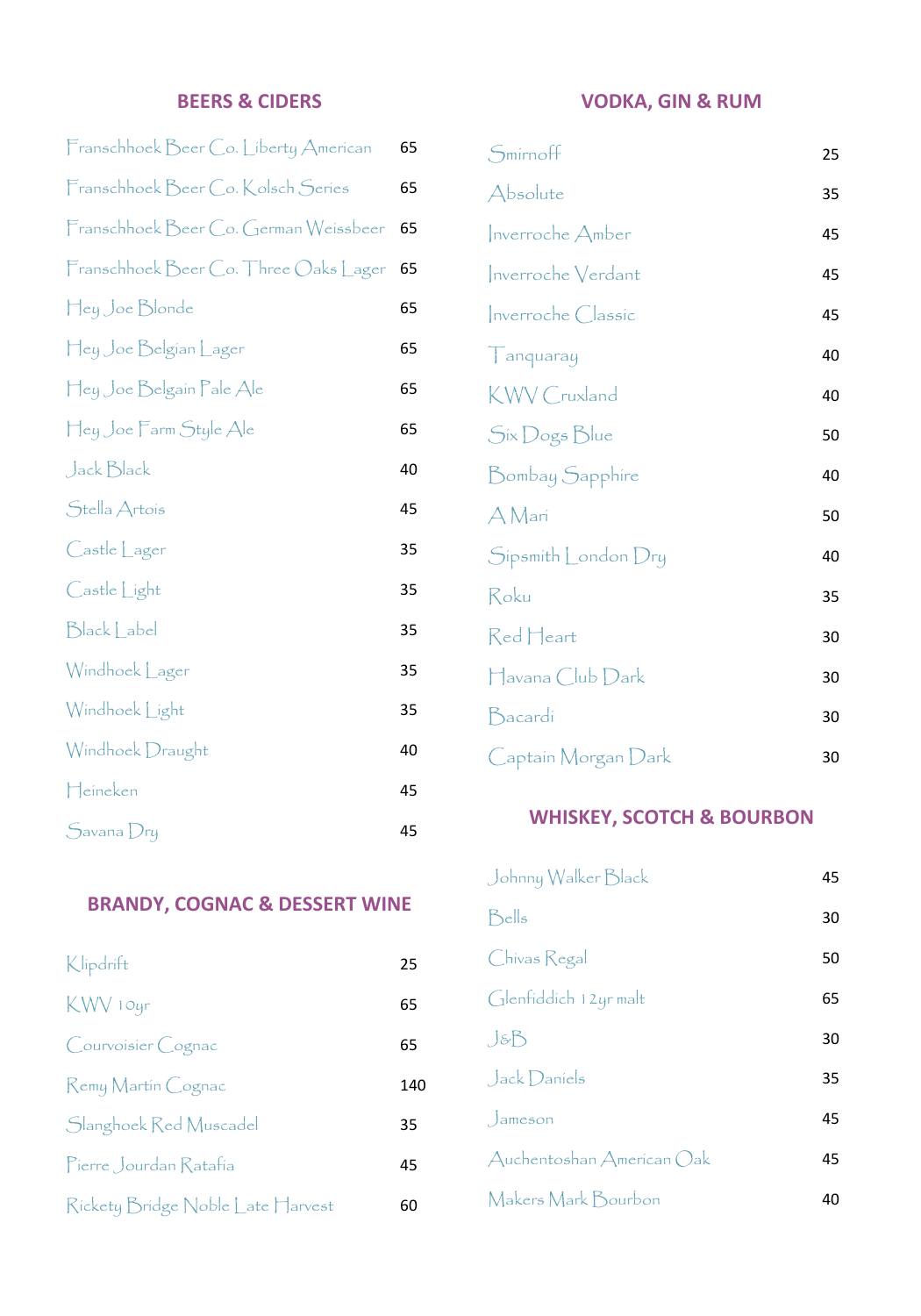## **BEERS & CIDERS**

| Franschhoek Beer Co. Liberty American | 65 |
|---------------------------------------|----|
| Franschhoek Beer Co. Kolsch Series    | 65 |
| Franschhoek Beer Co. German Weissbeer | 65 |
| Franschhoek Beer Co. Three Oaks Lager | 65 |
| Hey Joe Blonde                        | 65 |
| Hey Joe Belgian Lager                 | 65 |
| Hey Joe Belgain Pale Ale              | 65 |
| Hey Joe Farm Style Ale                | 65 |
| Jack Black                            | 40 |
| Stella Artois                         | 45 |
| Castle Lager                          | 35 |
| Castle Light                          | 35 |
| Black Label                           | 35 |
| Windhoek Lager                        | 35 |
| Windhoek Light                        | 35 |
| Windhoek Draught                      | 40 |
| Heineken                              | 45 |
| Savana Dry                            | 45 |

## **BRANDY, COGNAC & DESSERT WINE**

| Klipdrift                         | 25  |
|-----------------------------------|-----|
| KWV 10yr                          | 65  |
| Courvoisier Cognac                | 65  |
| Remy Martin Cognac                | 140 |
| Slanghoek Red Muscadel            | 35  |
| Pierre Jourdan Ratafia            | 45  |
| Rickety Bridge Noble Late Harvest | 60  |

#### **VODKA, GIN & RUM**

| Smirnoff            | 25 |
|---------------------|----|
| Absolute            | 35 |
| Inverroche Amber    | 45 |
| Inverroche Verdant  | 45 |
| Inverroche Classic  | 45 |
| Tanquaray           | 40 |
| <b>KWV</b> Cruxland | 40 |
| Six Dogs Blue       | 50 |
| Bombay Sapphire     | 40 |
| A Mari              | 50 |
| Sipsmith London Dry | 40 |
| Roku                | 35 |
| Red Heart           | 30 |
| Havana Club Dark    | 30 |
| Bacardi             | 30 |
| Captain Morgan Dark | 30 |

#### **WHISKEY, SCOTCH & BOURBON**

| Johnny Walker Black       | 45 |
|---------------------------|----|
| Bells                     | 30 |
| Chivas Regal              | 50 |
| Glenfiddich 12yr malt     | 65 |
| $J$ &B                    | 30 |
| Jack Daniels              | 35 |
| $\int$ ameson             | 45 |
| Auchentoshan American Oak | 45 |
| Makers Mark Bourbon       | 40 |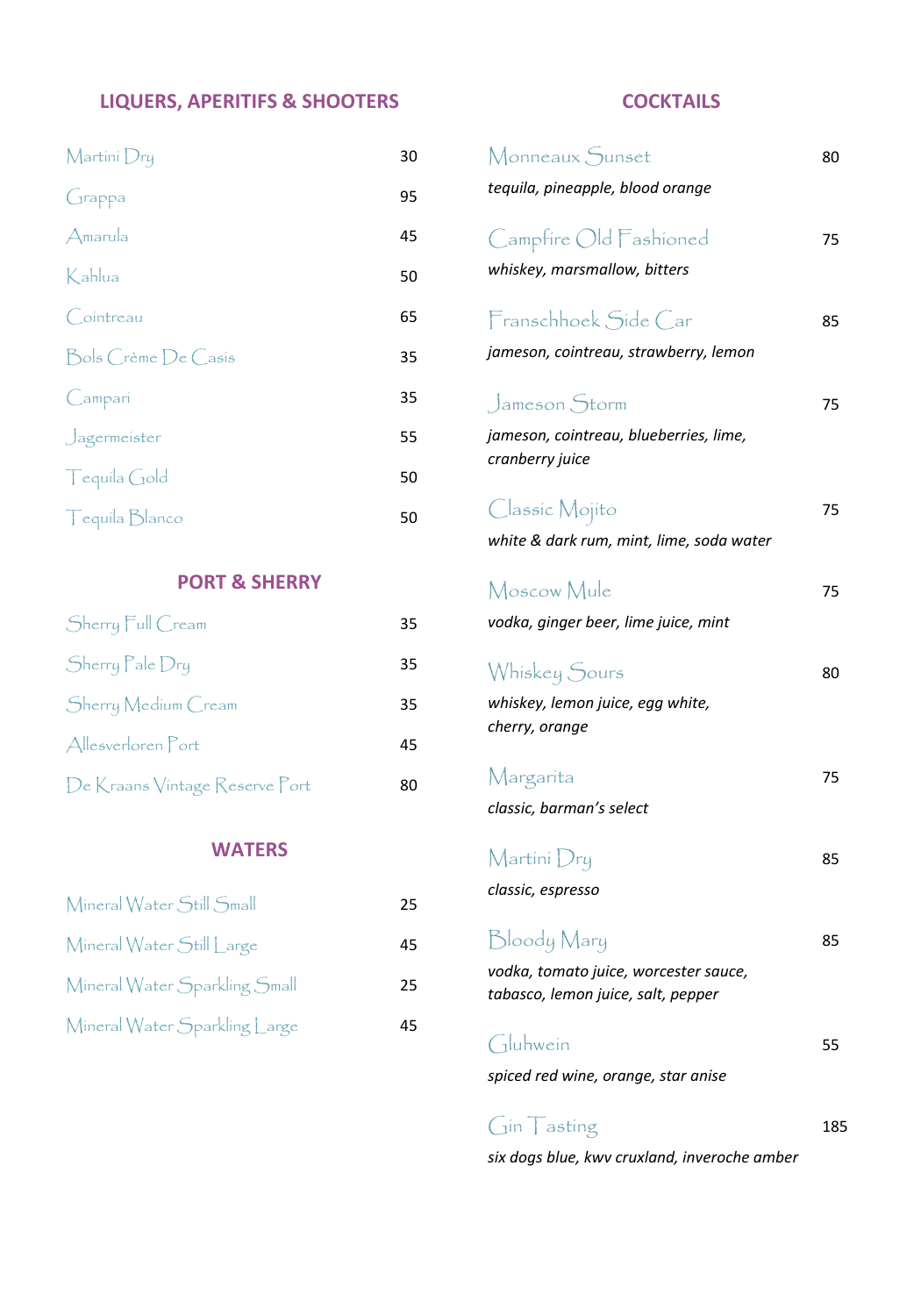### **LIQUERS, APERITIFS & SHOOTERS**

| Martini Dry         | 30 |
|---------------------|----|
| Grappa              | 95 |
| Amarula             | 45 |
| Kahlua              | 50 |
| Cointreau           | 65 |
| Bols Crème De Casis | 35 |
| Campari             | 35 |
| Jagermeister        | 55 |
| Tequila Gold        | 50 |
| Tequila Blanco      | 50 |

#### **PORT & SHERRY**

| Sherry Full Cream              | 35 |
|--------------------------------|----|
| Sherry Pale Dry                | 35 |
| Sherry Medium Cream            | 35 |
| Allesverloren Port             | 45 |
| De Kraans Vintage Reserve Port | 80 |

#### **WATERS**

| Mineral Water Still Small     | 25 |
|-------------------------------|----|
| Mineral Water Still Large     | 45 |
| Mineral Water Sparkling Small | 25 |
| Mineral Water Sparkling Large | 45 |

### **COCKTAILS**

| Monneaux Sunset<br>tequila, pineapple, blood orange                                        | 80  |
|--------------------------------------------------------------------------------------------|-----|
| Campfire Old Fashioned<br>whiskey, marsmallow, bitters                                     | 75  |
| Franschhoek Side Car<br>jameson, cointreau, strawberry, lemon                              | 85  |
| Jameson Storm<br>jameson, cointreau, blueberries, lime,<br>cranberry juice                 | 75  |
| Classic Mojito<br>white & dark rum, mint, lime, soda water                                 | 75  |
| Moscow Mule<br>vodka, ginger beer, lime juice, mint                                        | 75  |
| Whiskey Sours<br>whiskey, lemon juice, egg white,<br>cherry, orange                        | 80  |
| Margarita<br>classic, barman's select                                                      | 75  |
| $\mathsf{Martin}$ $\mathsf{Dry}$<br>classic, espresso                                      | 85  |
| Bloody Mary<br>vodka, tomato juice, worcester sauce,<br>tabasco, lemon juice, salt, pepper | 85  |
| Gluhwein<br>spiced red wine, orange, star anise                                            | 55  |
| $\frac{1}{2}$ in asting                                                                    | 185 |

*six dogs blue, kwv cruxland, inveroche amber*